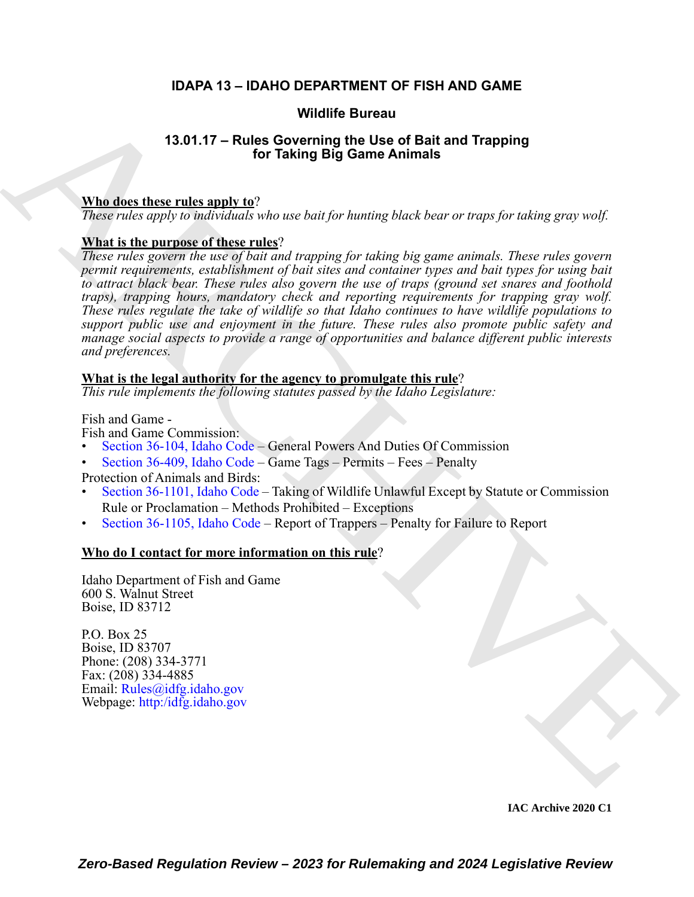### **IDAPA 13 – IDAHO DEPARTMENT OF FISH AND GAME**

### **Wildlife Bureau**

### **13.01.17 – Rules Governing the Use of Bait and Trapping for Taking Big Game Animals**

### **Who does these rules apply to**?

*These rules apply to individuals who use bait for hunting black bear or traps for taking gray wolf.* 

### **What is the purpose of these rules**?

**Wildlife Bureau (13.01.17 – Rules [C](https://legislature.idaho.gov/statutesrules/idstat/Title36/T36CH1/SECT36-104/)overing the Use of Bail and Trapping<br>
The does these rules apply the Veroning the Use of Bail and Trapping<br>
The does these rules apply the vero basis for boundary blues between traps, f** *These rules govern the use of bait and trapping for taking big game animals. These rules govern permit requirements, establishment of bait sites and container types and bait types for using bait to attract black bear. These rules also govern the use of traps (ground set snares and foothold traps), trapping hours, mandatory check and reporting requirements for trapping gray wolf. These rules regulate the take of wildlife so that Idaho continues to have wildlife populations to support public use and enjoyment in the future. These rules also promote public safety and manage social aspects to provide a range of opportunities and balance different public interests and preferences.*

### **What is the legal authority for the agency to promulgate this rule**?

*This rule implements the following statutes passed by the Idaho Legislature:*

Fish and Game -

Fish and Game Commission:

- Section 36-104, Idaho Code General Powers And Duties Of Commission
- Section 36-409, Idaho Code Game Tags Permits Fees Penalty

Protection of Animals and Birds:

- Section 36-1101, Idaho Code Taking of Wildlife Unlawful Except by Statute or Commission Rule or Proclamation – Methods Prohibited – Exceptions
- Section 36-1105, Idaho Code Report of Trappers Penalty for Failure to Report

### **Who do I contact for more information on this rule**?

Idaho Department of Fish and Game 600 S. Walnut Street Boise, ID 83712

P.O. Box 25 Boise, ID 83707 Phone: (208) 334-3771 Fax:  $(208)$  334-4885 Email: Rules@idfg.idaho.gov Webpage: http:/idfg.idaho.gov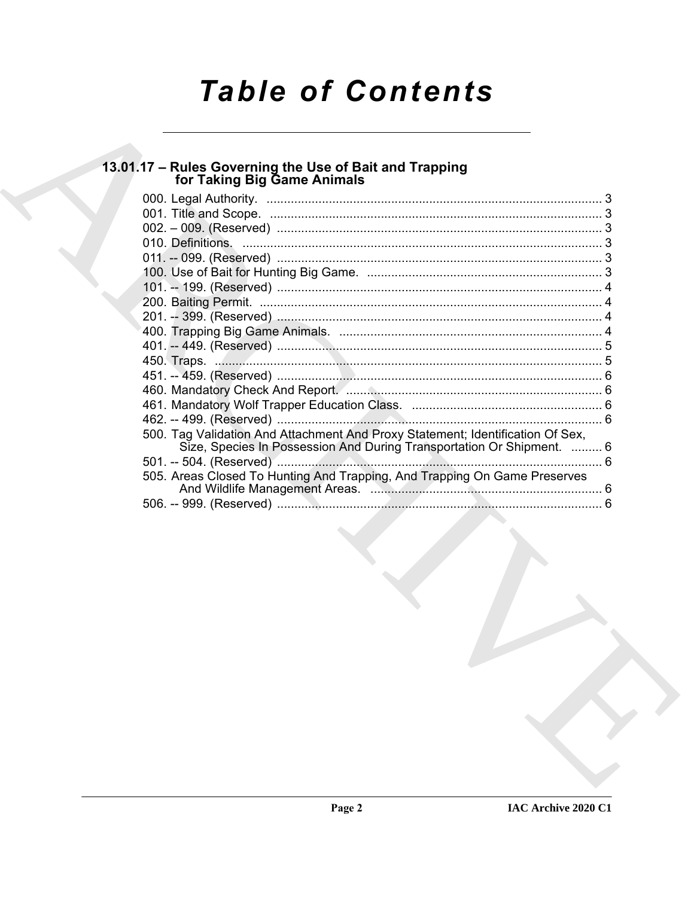# **Table of Contents**

# 13.01.17 - Rules Governing the Use of Bait and Trapping<br>for Taking Big Game Animals

| 500. Tag Validation And Attachment And Proxy Statement; Identification Of Sex,<br>Size, Species In Possession And During Transportation Or Shipment.  6 |  |
|---------------------------------------------------------------------------------------------------------------------------------------------------------|--|
|                                                                                                                                                         |  |
| 505. Areas Closed To Hunting And Trapping, And Trapping On Game Preserves                                                                               |  |
|                                                                                                                                                         |  |
|                                                                                                                                                         |  |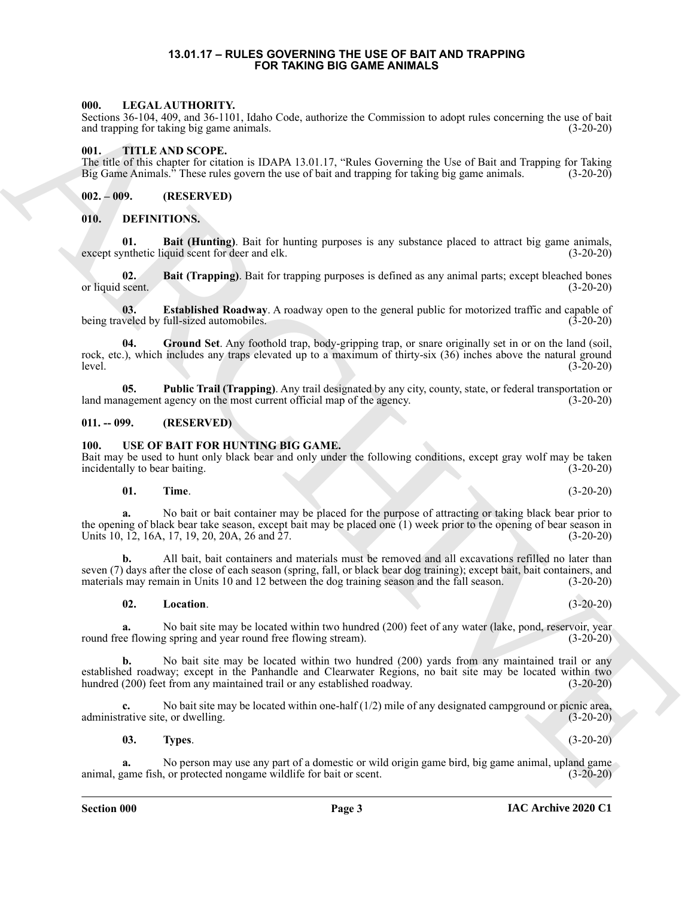### **13.01.17 – RULES GOVERNING THE USE OF BAIT AND TRAPPING FOR TAKING BIG GAME ANIMALS**

### <span id="page-2-13"></span><span id="page-2-1"></span><span id="page-2-0"></span>**000. LEGAL AUTHORITY.**

Sections 36-104, 409, and 36-1101, Idaho Code, authorize the Commission to adopt rules concerning the use of bait and trapping for taking big game animals. (3-20-20)

### <span id="page-2-14"></span><span id="page-2-2"></span>**001. TITLE AND SCOPE.**

The title of this chapter for citation is IDAPA 13.01.17, "Rules Governing the Use of Bait and Trapping for Taking Big Game Animals." These rules govern the use of bait and trapping for taking big game animals. (3-20-20) Big Game Animals." These rules govern the use of bait and trapping for taking big game animals.

<span id="page-2-3"></span>**002. – 009. (RESERVED)**

### <span id="page-2-7"></span><span id="page-2-4"></span>**010. DEFINITIONS.**

<span id="page-2-8"></span>**01. Bait (Hunting)**. Bait for hunting purposes is any substance placed to attract big game animals,  $(3-20-20)$ except synthetic liquid scent for deer and elk.

<span id="page-2-9"></span>**02. Bait (Trapping)**. Bait for trapping purposes is defined as any animal parts; except bleached bones scent. (3-20-20) or liquid scent.

<span id="page-2-10"></span>**03. Established Roadway**. A roadway open to the general public for motorized traffic and capable of being traveled by full-sized automobiles.  $(3-20-20)$ 

<span id="page-2-11"></span>**04. Ground Set**. Any foothold trap, body-gripping trap, or snare originally set in or on the land (soil, rock, etc.), which includes any traps elevated up to a maximum of thirty-six (36) inches above the natural ground level. (3-20-20)

<span id="page-2-12"></span>**05. Public Trail (Trapping)**. Any trail designated by any city, county, state, or federal transportation or land management agency on the most current official map of the agency. (3-20-20)

### <span id="page-2-5"></span>**011. -- 099. (RESERVED)**

### <span id="page-2-15"></span><span id="page-2-6"></span>**100. USE OF BAIT FOR HUNTING BIG GAME.**

Bait may be used to hunt only black bear and only under the following conditions, except gray wolf may be taken incidentally to bear baiting. (3-20-20)

### <span id="page-2-17"></span>**01. Time**. (3-20-20)

**a.** No bait or bait container may be placed for the purpose of attracting or taking black bear prior to the opening of black bear take season, except bait may be placed one (1) week prior to the opening of bear season in Units 10, 12, 16A, 17, 19, 20, 20A, 26 and 27. (3-20-20)

**b.** All bait, bait containers and materials must be removed and all excavations refilled no later than seven (7) days after the close of each season (spring, fall, or black bear dog training); except bait, bait containers, and materials may remain in Units 10 and 12 between the dog training season and the fall season. (3-20-20)

### <span id="page-2-16"></span>**02. Location**. (3-20-20)

**a.** No bait site may be located within two hundred (200) feet of any water (lake, pond, reservoir, year round free flowing spring and year round free flowing stream). (3-20-20)

606. IDENTIFY IDENTIFY This blanchar contract a subset of Convention in adopt rules can be the SD-2010.<br>
And the SD-2010 Convention in the SD-2011 Convention in adopt rules can be the SD-2012 Convention in the SD-2012 Con **b.** No bait site may be located within two hundred (200) yards from any maintained trail or any established roadway; except in the Panhandle and Clearwater Regions, no bait site may be located within two hundred (200) feet from any maintained trail or any established roadway. (3-20-20) (3-20-20)

**c.** No bait site may be located within one-half (1/2) mile of any designated campground or picnic area, rative site, or dwelling. (3-20-20) administrative site, or dwelling.

<span id="page-2-18"></span>**03. Types**. (3-20-20)

**a.** No person may use any part of a domestic or wild origin game bird, big game animal, upland game animal, game fish, or protected nongame wildlife for bait or scent. (3-20-20)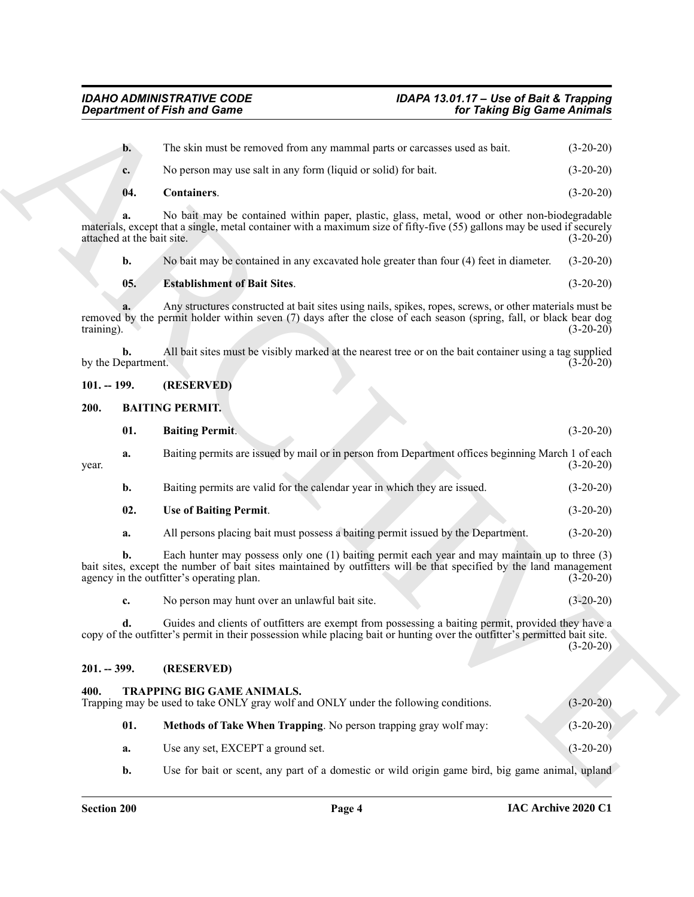<span id="page-3-10"></span><span id="page-3-9"></span><span id="page-3-8"></span><span id="page-3-7"></span><span id="page-3-6"></span><span id="page-3-5"></span><span id="page-3-4"></span><span id="page-3-3"></span><span id="page-3-2"></span><span id="page-3-1"></span><span id="page-3-0"></span>

|                                  | <b>Department of Fish and Game</b>                                                                                                                                                                                                                                | for Taking Big Game Animals |  |
|----------------------------------|-------------------------------------------------------------------------------------------------------------------------------------------------------------------------------------------------------------------------------------------------------------------|-----------------------------|--|
| $\mathbf{b}$ .                   | The skin must be removed from any mammal parts or carcasses used as bait.                                                                                                                                                                                         | $(3-20-20)$                 |  |
| c.                               | No person may use salt in any form (liquid or solid) for bait.                                                                                                                                                                                                    | $(3-20-20)$                 |  |
| 04.                              | Containers.                                                                                                                                                                                                                                                       | $(3-20-20)$                 |  |
| a.<br>attached at the bait site. | No bait may be contained within paper, plastic, glass, metal, wood or other non-biodegradable<br>materials, except that a single, metal container with a maximum size of fifty-five (55) gallons may be used if securely                                          | $(3-20-20)$                 |  |
| b.                               | No bait may be contained in any excavated hole greater than four (4) feet in diameter.                                                                                                                                                                            | $(3-20-20)$                 |  |
| 05.                              | <b>Establishment of Bait Sites.</b>                                                                                                                                                                                                                               | $(3-20-20)$                 |  |
| training).                       | Any structures constructed at bait sites using nails, spikes, ropes, screws, or other materials must be<br>removed by the permit holder within seven (7) days after the close of each season (spring, fall, or black bear dog                                     | $(3-20-20)$                 |  |
| b.<br>by the Department.         | All bait sites must be visibly marked at the nearest tree or on the bait container using a tag supplied                                                                                                                                                           | $(3-20-20)$                 |  |
| $101. - 199.$                    | (RESERVED)                                                                                                                                                                                                                                                        |                             |  |
| 200.                             | <b>BAITING PERMIT.</b>                                                                                                                                                                                                                                            |                             |  |
| 01.                              | <b>Baiting Permit.</b>                                                                                                                                                                                                                                            | $(3-20-20)$                 |  |
| a.<br>year.                      | Baiting permits are issued by mail or in person from Department offices beginning March 1 of each                                                                                                                                                                 | $(3-20-20)$                 |  |
| b.                               | Baiting permits are valid for the calendar year in which they are issued.                                                                                                                                                                                         | $(3-20-20)$                 |  |
| 02.                              | <b>Use of Baiting Permit.</b>                                                                                                                                                                                                                                     | $(3-20-20)$                 |  |
| a.                               | All persons placing bait must possess a baiting permit issued by the Department.                                                                                                                                                                                  | $(3-20-20)$                 |  |
| b.                               | Each hunter may possess only one (1) baiting permit each year and may maintain up to three (3)<br>bait sites, except the number of bait sites maintained by outfitters will be that specified by the land management<br>agency in the outfitter's operating plan. | $(3-20-20)$                 |  |
| c.                               | No person may hunt over an unlawful bait site.                                                                                                                                                                                                                    | $(3-20-20)$                 |  |
| d.                               | Guides and clients of outfitters are exempt from possessing a baiting permit, provided they have a<br>copy of the outfitter's permit in their possession while placing bait or hunting over the outfitter's permitted bait site.                                  | $(3-20-20)$                 |  |
| $201. - 399.$                    | (RESERVED)                                                                                                                                                                                                                                                        |                             |  |
| 400.                             | <b>TRAPPING BIG GAME ANIMALS.</b><br>Trapping may be used to take ONLY gray wolf and ONLY under the following conditions.                                                                                                                                         | $(3-20-20)$                 |  |
| 01.                              | Methods of Take When Trapping. No person trapping gray wolf may:                                                                                                                                                                                                  | $(3-20-20)$                 |  |
| a.                               | Use any set, EXCEPT a ground set.                                                                                                                                                                                                                                 | $(3-20-20)$                 |  |
| b.                               | Use for bait or scent, any part of a domestic or wild origin game bird, big game animal, upland                                                                                                                                                                   |                             |  |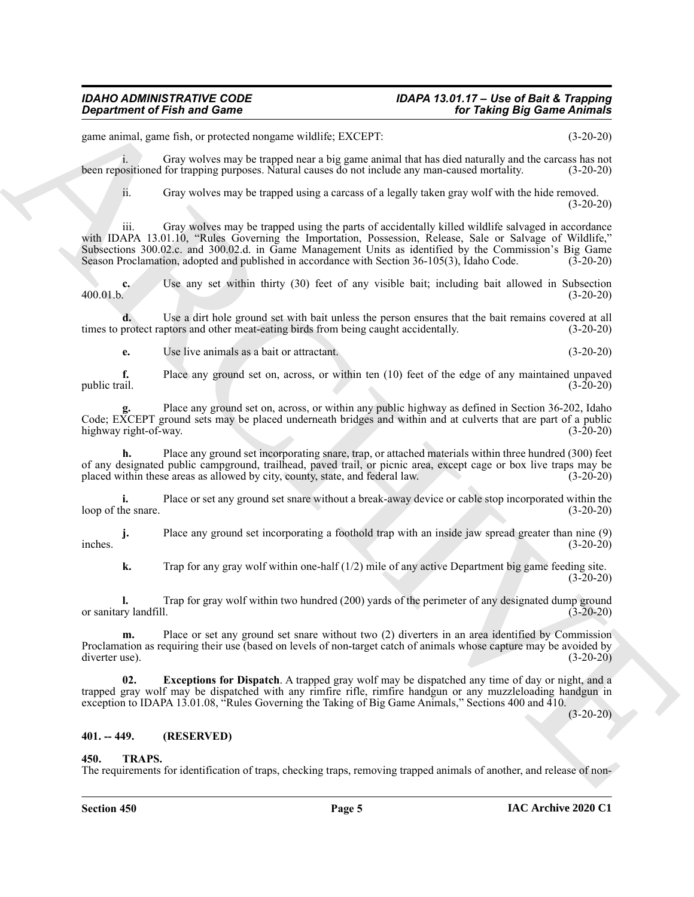## *Department of Fish and Game*

## *IDAHO ADMINISTRATIVE CODE IDAPA 13.01.17 – Use of Bait & Trapping*

game animal, game fish, or protected nongame wildlife; EXCEPT: (3-20-20)

i. Gray wolves may be trapped near a big game animal that has died naturally and the carcass has not been repositioned for trapping purposes. Natural causes do not include any man-caused mortality. (3-20-20)

ii. Gray wolves may be trapped using a carcass of a legally taken gray wolf with the hide removed. (3-20-20)

*Gives trained of Fish and Gomes*<br> *Considerably and Gomes*<br> *Considerably and Gomes* and Architects EXCEPT<br> **SECULAR CONSIDERATION**<br> **ARCHIVES THE CONSIDERATION**<br> **ARCHIVES THE CONSIDERATION**<br> **CONSIDERATION CONSIDER** iii. Gray wolves may be trapped using the parts of accidentally killed wildlife salvaged in accordance with IDAPA 13.01.10, "Rules Governing the Importation, Possession, Release, Sale or Salvage of Wildlife," Subsections 300.02.c. and 300.02.d. in Game Management Units as identified by the Commission's Big Game Season Proclamation, adopted and published in accordance with Section 36-105(3), Idaho Code. (3-20-20)

**c.** Use any set within thirty (30) feet of any visible bait; including bait allowed in Subsection 400.01.b. (3-20-20) 400.01.b. (3-20-20)

**d.** Use a dirt hole ground set with bait unless the person ensures that the bait remains covered at all times to protect raptors and other meat-eating birds from being caught accidentally. (3-20-20)

**e.** Use live animals as a bait or attractant. (3-20-20)

**f.** Place any ground set on, across, or within ten (10) feet of the edge of any maintained unpaved public trail.  $(3-20-20)$ public trail. (3-20-20)

**g.** Place any ground set on, across, or within any public highway as defined in Section 36-202, Idaho Code; EXCEPT ground sets may be placed underneath bridges and within and at culverts that are part of a public highway right-of-way. (3-20-20)

**h.** Place any ground set incorporating snare, trap, or attached materials within three hundred (300) feet of any designated public campground, trailhead, paved trail, or picnic area, except cage or box live traps may be placed within these areas as allowed by city, county, state, and federal law. (3-20-20)

**i.** Place or set any ground set snare without a break-away device or cable stop incorporated within the loop of the snare. (3-20-20)

**j.** Place any ground set incorporating a foothold trap with an inside jaw spread greater than nine (9)  $(3-20-20)$ inches. (3-20-20)

**k.** Trap for any gray wolf within one-half (1/2) mile of any active Department big game feeding site.  $(3-20-20)$ 

**l.** Trap for gray wolf within two hundred (200) yards of the perimeter of any designated dump ground or sanitary landfill. (3-20-20)

**m.** Place or set any ground set snare without two (2) diverters in an area identified by Commission Proclamation as requiring their use (based on levels of non-target catch of animals whose capture may be avoided by diverter use). (3-20-20)

<span id="page-4-2"></span>**02. Exceptions for Dispatch**. A trapped gray wolf may be dispatched any time of day or night, and a trapped gray wolf may be dispatched with any rimfire rifle, rimfire handgun or any muzzleloading handgun in exception to IDAPA 13.01.08, "Rules Governing the Taking of Big Game Animals," Sections 400 and 410.

 $(3-20-20)$ 

### <span id="page-4-0"></span>**401. -- 449. (RESERVED)**

### <span id="page-4-3"></span><span id="page-4-1"></span>**450. TRAPS.**

The requirements for identification of traps, checking traps, removing trapped animals of another, and release of non-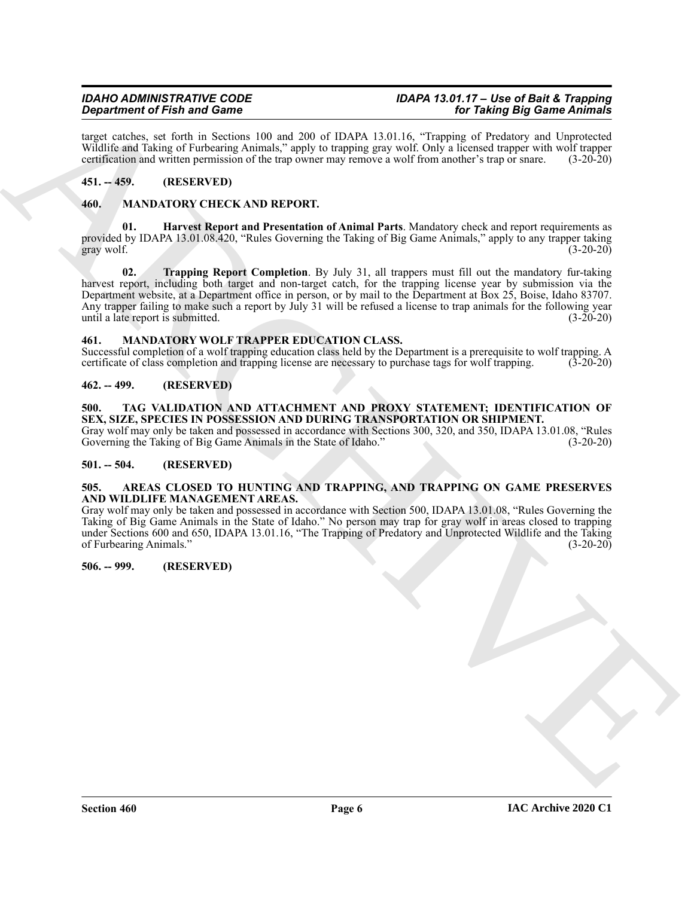target catches, set forth in Sections 100 and 200 of IDAPA 13.01.16, "Trapping of Predatory and Unprotected Wildlife and Taking of Furbearing Animals," apply to trapping gray wolf. Only a licensed trapper with wolf trapper certification and written permission of the trap owner may remove a wolf from another's trap or snare. (3-20-20)

### <span id="page-5-0"></span>**451. -- 459. (RESERVED)**

### <span id="page-5-10"></span><span id="page-5-1"></span>**460. MANDATORY CHECK AND REPORT.**

**01. Harvest Report and Presentation of Animal Parts**. Mandatory check and report requirements as provided by IDAPA 13.01.08.420, "Rules Governing the Taking of Big Game Animals," apply to any trapper taking gray wolf. (3-20-20)  $\frac{1}{2}$ gray wolf. (3-20-20)

Graphine of Find and Columb 1818, and Columb 2018, and Columb 2018. The Table 2018 of the Columb 2018 of Columb 2018 of Columb 2018 of Columb 2018 of Columb 2018 of Columb 2018 of Columb 2018 of Columb 2018 of Columb 2018 **02. Trapping Report Completion**. By July 31, all trappers must fill out the mandatory fur-taking harvest report, including both target and non-target catch, for the trapping license year by submission via the Department website, at a Department office in person, or by mail to the Department at Box 25, Boise, Idaho 83707. Any trapper failing to make such a report by July 31 will be refused a license to trap animals for the following year until a late report is submitted. (3-20-20) until a late report is submitted.

### <span id="page-5-11"></span><span id="page-5-2"></span>**461. MANDATORY WOLF TRAPPER EDUCATION CLASS.**

Successful completion of a wolf trapping education class held by the Department is a prerequisite to wolf trapping. A certificate of class completion and trapping license are necessary to purchase tags for wolf trapping. (3-20-20)

### <span id="page-5-3"></span>**462. -- 499. (RESERVED)**

### <span id="page-5-9"></span><span id="page-5-4"></span>**500. TAG VALIDATION AND ATTACHMENT AND PROXY STATEMENT; IDENTIFICATION OF SEX, SIZE, SPECIES IN POSSESSION AND DURING TRANSPORTATION OR SHIPMENT.**

Gray wolf may only be taken and possessed in accordance with Sections 300, 320, and 350, IDAPA 13.01.08, "Rules Governing the Taking of Big Game Animals in the State of Idaho." (3-20-20) Governing the Taking of Big Game Animals in the State of Idaho."

### <span id="page-5-5"></span>**501. -- 504. (RESERVED)**

### <span id="page-5-8"></span><span id="page-5-6"></span>**505. AREAS CLOSED TO HUNTING AND TRAPPING, AND TRAPPING ON GAME PRESERVES AND WILDLIFE MANAGEMENT AREAS.**

Gray wolf may only be taken and possessed in accordance with Section 500, IDAPA 13.01.08, "Rules Governing the Taking of Big Game Animals in the State of Idaho." No person may trap for gray wolf in areas closed to trapping under Sections 600 and 650, IDAPA 13.01.16, "The Trapping of Predatory and Unprotected Wildlife and the Taking of Furbearing Animals." (3-20-20)

### <span id="page-5-7"></span>**506. -- 999. (RESERVED)**